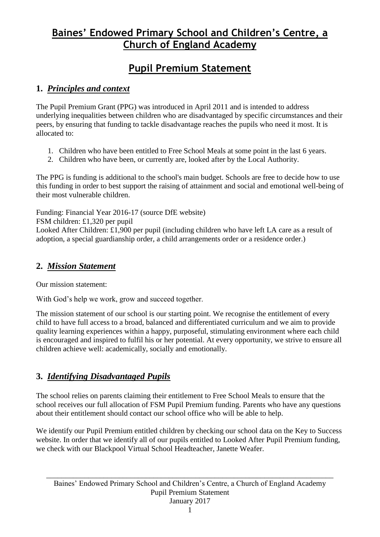# **Baines' Endowed Primary School and Children's Centre, a Church of England Academy**

# **Pupil Premium Statement**

### **1.** *Principles and context*

The Pupil Premium Grant (PPG) was introduced in April 2011 and is intended to address underlying inequalities between children who are disadvantaged by specific circumstances and their peers, by ensuring that funding to tackle disadvantage reaches the pupils who need it most. It is allocated to:

- 1. Children who have been entitled to Free School Meals at some point in the last 6 years.
- 2. Children who have been, or currently are, looked after by the Local Authority.

The PPG is funding is additional to the school's main budget. Schools are free to decide how to use this funding in order to best support the raising of attainment and social and emotional well-being of their most vulnerable children.

Funding: Financial Year 2016-17 (source DfE website)

FSM children: £1,320 per pupil

Looked After Children: £1,900 per pupil (including children who have left LA care as a result of adoption, a special guardianship order, a child arrangements order or a residence order.)

### **2.** *Mission Statement*

Our mission statement:

With God's help we work, grow and succeed together.

The mission statement of our school is our starting point. We recognise the entitlement of every child to have full access to a broad, balanced and differentiated curriculum and we aim to provide quality learning experiences within a happy, purposeful, stimulating environment where each child is encouraged and inspired to fulfil his or her potential. At every opportunity, we strive to ensure all children achieve well: academically, socially and emotionally.

### **3.** *Identifying Disadvantaged Pupils*

The school relies on parents claiming their entitlement to Free School Meals to ensure that the school receives our full allocation of FSM Pupil Premium funding. Parents who have any questions about their entitlement should contact our school office who will be able to help.

We identify our Pupil Premium entitled children by checking our school data on the Key to Success website. In order that we identify all of our pupils entitled to Looked After Pupil Premium funding, we check with our Blackpool Virtual School Headteacher, Janette Weafer.

\_\_\_\_\_\_\_\_\_\_\_\_\_\_\_\_\_\_\_\_\_\_\_\_\_\_\_\_\_\_\_\_\_\_\_\_\_\_\_\_\_\_\_\_\_\_\_\_\_\_\_\_\_\_\_\_\_\_\_\_\_\_\_\_\_\_\_\_\_\_\_\_\_\_\_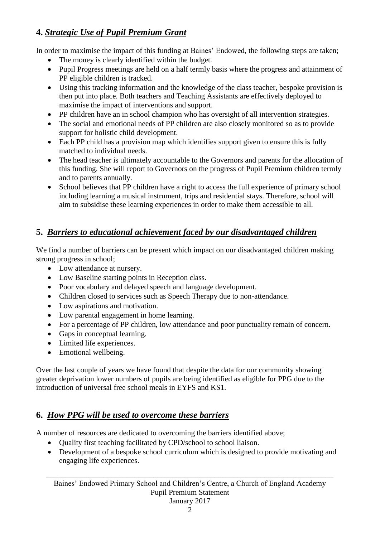## **4.** *Strategic Use of Pupil Premium Grant*

In order to maximise the impact of this funding at Baines' Endowed, the following steps are taken;

- The money is clearly identified within the budget.
- Pupil Progress meetings are held on a half termly basis where the progress and attainment of PP eligible children is tracked.
- Using this tracking information and the knowledge of the class teacher, bespoke provision is then put into place. Both teachers and Teaching Assistants are effectively deployed to maximise the impact of interventions and support.
- PP children have an in school champion who has oversight of all intervention strategies.
- The social and emotional needs of PP children are also closely monitored so as to provide support for holistic child development.
- Each PP child has a provision map which identifies support given to ensure this is fully matched to individual needs.
- The head teacher is ultimately accountable to the Governors and parents for the allocation of this funding. She will report to Governors on the progress of Pupil Premium children termly and to parents annually.
- School believes that PP children have a right to access the full experience of primary school including learning a musical instrument, trips and residential stays. Therefore, school will aim to subsidise these learning experiences in order to make them accessible to all.

## **5.** *Barriers to educational achievement faced by our disadvantaged children*

We find a number of barriers can be present which impact on our disadvantaged children making strong progress in school;

- Low attendance at nursery.
- Low Baseline starting points in Reception class.
- Poor vocabulary and delayed speech and language development.
- Children closed to services such as Speech Therapy due to non-attendance.
- Low aspirations and motivation.
- Low parental engagement in home learning.
- For a percentage of PP children, low attendance and poor punctuality remain of concern.
- Gaps in conceptual learning.
- Limited life experiences.
- Emotional wellbeing.

Over the last couple of years we have found that despite the data for our community showing greater deprivation lower numbers of pupils are being identified as eligible for PPG due to the introduction of universal free school meals in EYFS and KS1.

## **6.** *How PPG will be used to overcome these barriers*

A number of resources are dedicated to overcoming the barriers identified above;

- Quality first teaching facilitated by CPD/school to school liaison.
- Development of a bespoke school curriculum which is designed to provide motivating and engaging life experiences.

\_\_\_\_\_\_\_\_\_\_\_\_\_\_\_\_\_\_\_\_\_\_\_\_\_\_\_\_\_\_\_\_\_\_\_\_\_\_\_\_\_\_\_\_\_\_\_\_\_\_\_\_\_\_\_\_\_\_\_\_\_\_\_\_\_\_\_\_\_\_\_\_\_\_\_ Baines' Endowed Primary School and Children's Centre, a Church of England Academy Pupil Premium Statement January 2017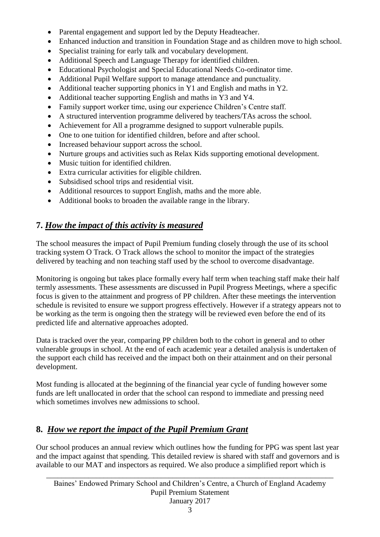- Parental engagement and support led by the Deputy Headteacher.
- Enhanced induction and transition in Foundation Stage and as children move to high school.
- Specialist training for early talk and vocabulary development.
- Additional Speech and Language Therapy for identified children.
- Educational Psychologist and Special Educational Needs Co-ordinator time.
- Additional Pupil Welfare support to manage attendance and punctuality.
- Additional teacher supporting phonics in Y1 and English and maths in Y2.
- Additional teacher supporting English and maths in Y3 and Y4.
- Family support worker time, using our experience Children's Centre staff.
- A structured intervention programme delivered by teachers/TAs across the school.
- Achievement for All a programme designed to support vulnerable pupils.
- One to one tuition for identified children, before and after school.
- Increased behaviour support across the school.
- Nurture groups and activities such as Relax Kids supporting emotional development.
- Music tuition for identified children.
- Extra curricular activities for eligible children.
- Subsidised school trips and residential visit.
- Additional resources to support English, maths and the more able.
- Additional books to broaden the available range in the library.

## **7.** *How the impact of this activity is measured*

The school measures the impact of Pupil Premium funding closely through the use of its school tracking system O Track. O Track allows the school to monitor the impact of the strategies delivered by teaching and non teaching staff used by the school to overcome disadvantage.

Monitoring is ongoing but takes place formally every half term when teaching staff make their half termly assessments. These assessments are discussed in Pupil Progress Meetings, where a specific focus is given to the attainment and progress of PP children. After these meetings the intervention schedule is revisited to ensure we support progress effectively. However if a strategy appears not to be working as the term is ongoing then the strategy will be reviewed even before the end of its predicted life and alternative approaches adopted.

Data is tracked over the year, comparing PP children both to the cohort in general and to other vulnerable groups in school. At the end of each academic year a detailed analysis is undertaken of the support each child has received and the impact both on their attainment and on their personal development.

Most funding is allocated at the beginning of the financial year cycle of funding however some funds are left unallocated in order that the school can respond to immediate and pressing need which sometimes involves new admissions to school.

### **8.** *How we report the impact of the Pupil Premium Grant*

Our school produces an annual review which outlines how the funding for PPG was spent last year and the impact against that spending. This detailed review is shared with staff and governors and is available to our MAT and inspectors as required. We also produce a simplified report which is